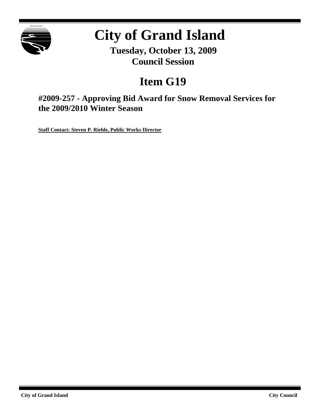

# **City of Grand Island**

**Tuesday, October 13, 2009 Council Session**

## **Item G19**

**#2009-257 - Approving Bid Award for Snow Removal Services for the 2009/2010 Winter Season**

**Staff Contact: Steven P. Riehle, Public Works Director**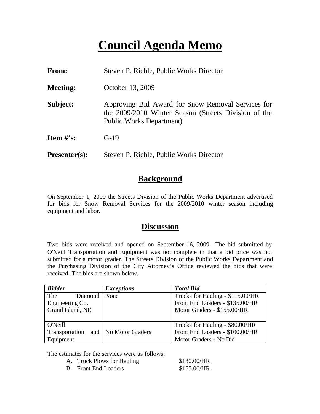### **Council Agenda Memo**

| From:           | Steven P. Riehle, Public Works Director                                                                                               |
|-----------------|---------------------------------------------------------------------------------------------------------------------------------------|
| <b>Meeting:</b> | October 13, 2009                                                                                                                      |
| Subject:        | Approving Bid Award for Snow Removal Services for<br>the 2009/2010 Winter Season (Streets Division of the<br>Public Works Department) |
| Item $\#$ 's:   | $G-19$                                                                                                                                |
| $Presenter(s):$ | Steven P. Riehle, Public Works Director                                                                                               |

### **Background**

On September 1, 2009 the Streets Division of the Public Works Department advertised for bids for Snow Removal Services for the 2009/2010 winter season including equipment and labor.

#### **Discussion**

Two bids were received and opened on September 16, 2009. The bid submitted by O'Neill Transportation and Equipment was not complete in that a bid price was not submitted for a motor grader. The Streets Division of the Public Works Department and the Purchasing Division of the City Attorney's Office reviewed the bids that were received. The bids are shown below.

| <b>Bidder</b>                                              | <b>Exceptions</b> | <b>Total Bid</b>                                                                                   |  |
|------------------------------------------------------------|-------------------|----------------------------------------------------------------------------------------------------|--|
| The<br>Diamond None<br>Engineering Co.<br>Grand Island, NE |                   | Trucks for Hauling - \$115.00/HR<br>Front End Loaders - \$135.00/HR<br>Motor Graders - \$155.00/HR |  |
|                                                            |                   |                                                                                                    |  |
| O'Neill                                                    |                   | Trucks for Hauling - \$80.00/HR                                                                    |  |
| Transportation and   No Motor Graders                      |                   | Front End Loaders - \$100.00/HR                                                                    |  |
| Equipment                                                  |                   | Motor Graders - No Bid                                                                             |  |

The estimates for the services were as follows:

| A. | <b>Truck Plows for Hauling</b> | \$130.00/HR |
|----|--------------------------------|-------------|
|    | <b>B.</b> Front End Loaders    | \$155.00/HR |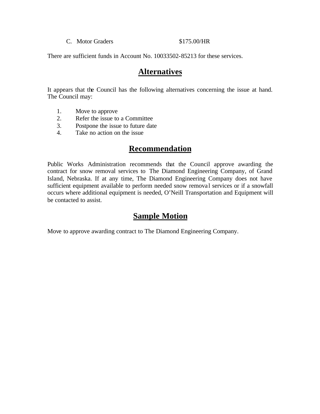#### C. Motor Graders  $$175.00/HR$

There are sufficient funds in Account No. 10033502-85213 for these services.

#### **Alternatives**

It appears that the Council has the following alternatives concerning the issue at hand. The Council may:

- 1. Move to approve
- 2. Refer the issue to a Committee
- 3. Postpone the issue to future date
- 4. Take no action on the issue

#### **Recommendation**

Public Works Administration recommends that the Council approve awarding the contract for snow removal services to The Diamond Engineering Company, of Grand Island, Nebraska. If at any time, The Diamond Engineering Company does not have sufficient equipment available to perform needed snow removal services or if a snowfall occurs where additional equipment is needed, O'Neill Transportation and Equipment will be contacted to assist.

#### **Sample Motion**

Move to approve awarding contract to The Diamond Engineering Company.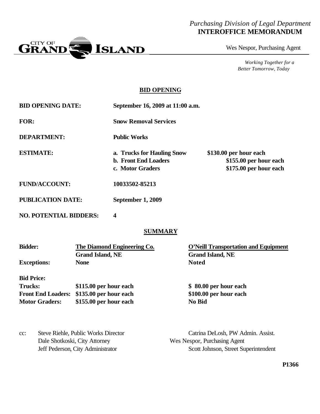#### *Purchasing Division of Legal Department* **INTEROFFICE MEMORANDUM**



Wes Nespor, Purchasing Agent

*Working Together for a Better Tomorrow, Today*

#### **BID OPENING**

**BID OPENING DATE: September 16, 2009 at 11:00 a.m.**

**FOR: Snow Removal Services**

**DEPARTMENT: Public Works**

**ESTIMATE: a. Trucks for Hauling Snow \$130.00 per hour each**

**b. Front End Loaders \$155.00 per hour each c. Motor Graders \$175.00 per hour each**

**FUND/ACCOUNT: 10033502-85213**

**PUBLICATION DATE: September 1, 2009**

**NO. POTENTIAL BIDDERS: 4**

#### **SUMMARY**

| <b>Bidder:</b>            | The Diamond Engineering Co. | <b>O'Neill Transportation and Equipment</b> |
|---------------------------|-----------------------------|---------------------------------------------|
|                           | <b>Grand Island, NE</b>     | <b>Grand Island, NE</b>                     |
| <b>Exceptions:</b>        | <b>None</b>                 | <b>Noted</b>                                |
| <b>Bid Price:</b>         |                             |                                             |
| <b>Trucks:</b>            | \$115.00 per hour each      | \$ 80.00 per hour each                      |
| <b>Front End Loaders:</b> | \$135.00 per hour each      | \$100.00 per hour each                      |
| <b>Motor Graders:</b>     | \$155.00 per hour each      | No Bid                                      |

| $cc$ : | Steve Riehle, Public Works Director | Catrina DeLosh, PW Admin. Assist.    |
|--------|-------------------------------------|--------------------------------------|
|        | Dale Shotkoski, City Attorney       | Wes Nespor, Purchasing Agent         |
|        | Jeff Pederson, City Administrator   | Scott Johnson, Street Superintendent |

**P1366**